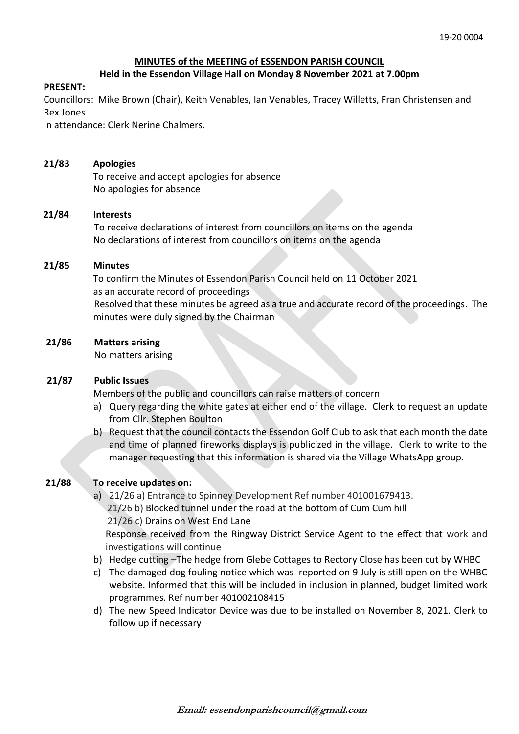# **MINUTES of the MEETING of ESSENDON PARISH COUNCIL**

# **Held in the Essendon Village Hall on Monday 8 November 2021 at 7.00pm**

## **PRESENT:**

Councillors: Mike Brown (Chair), Keith Venables, Ian Venables, Tracey Willetts, Fran Christensen and Rex Jones

In attendance: Clerk Nerine Chalmers.

# **21/83 Apologies**

To receive and accept apologies for absence No apologies for absence

# **21/84 Interests**

To receive declarations of interest from councillors on items on the agenda No declarations of interest from councillors on items on the agenda

# **21/85 Minutes**

 To confirm the Minutes of Essendon Parish Council held on 11 October 2021 as an accurate record of proceedings Resolved that these minutes be agreed as a true and accurate record of the proceedings. The minutes were duly signed by the Chairman

# **21/86 Matters arising**

No matters arising

## **21/87 Public Issues**

Members of the public and councillors can raise matters of concern

- a) Query regarding the white gates at either end of the village. Clerk to request an update from Cllr. Stephen Boulton
- b) Request that the council contacts the Essendon Golf Club to ask that each month the date and time of planned fireworks displays is publicized in the village. Clerk to write to the manager requesting that this information is shared via the Village WhatsApp group.

# **21/88 To receive updates on:**

- a) 21/26 a) Entrance to Spinney Development Ref number 401001679413. 21/26 b) Blocked tunnel under the road at the bottom of Cum Cum hill 21/26 c) Drains on West End Lane Response received from the Ringway District Service Agent to the effect that work and investigations will continue
- b) Hedge cutting –The hedge from Glebe Cottages to Rectory Close has been cut by WHBC
- c) The damaged dog fouling notice which was reported on 9 July is still open on the WHBC website. Informed that this will be included in inclusion in planned, budget limited work programmes. Ref number 401002108415
- d) The new Speed Indicator Device was due to be installed on November 8, 2021. Clerk to follow up if necessary